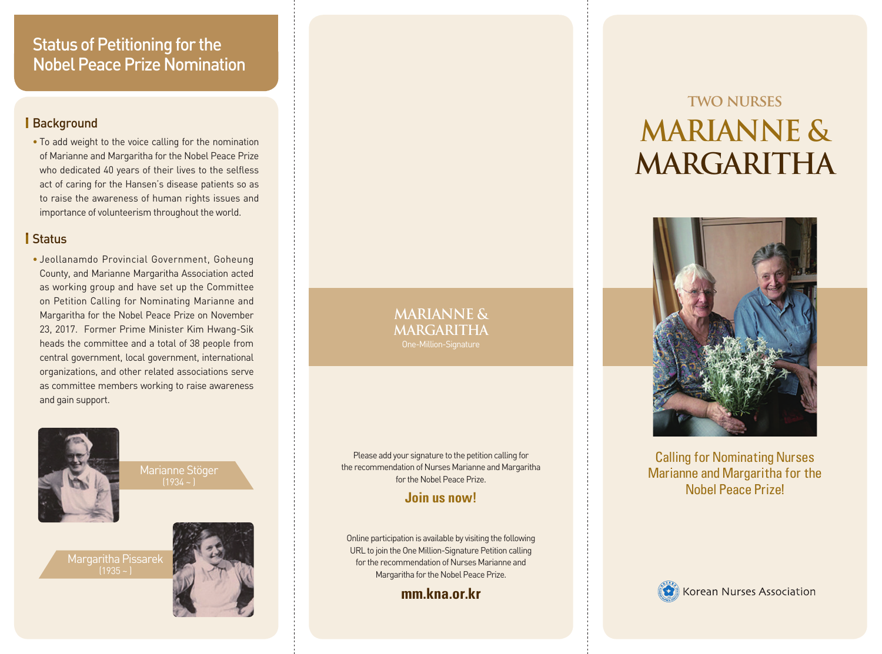## Status of Petitioning for the Nobel Peace Prize Nomination

#### Background

• To add weight to the voice calling for the nomination of Marianne and Margaritha for the Nobel Peace Prize who dedicated 40 years of their lives to the selfless act of caring for the Hansen's disease patients so as to raise the awareness of human rights issues and importance of volunteerism throughout the world.

#### **I** Status

• Jeollanamdo Provincial Government, Goheung County, and Marianne Margaritha Association acted as working group and have set up the Committee on Petition Calling for Nominating Marianne and Margaritha for the Nobel Peace Prize on November 23, 2017. Former Prime Minister Kim Hwang-Sik heads the committee and a total of 38 people from central government, local government, international organizations, and other related associations serve as committee members working to raise awareness and gain support.



Marianne Stöger  $(1934 - )$ 

Margaritha Pissarek  $(1935 - )$ 



**MARIANNE & MARGARITHA**

Please add your signature to the petition calling for the recommendation of Nurses Marianne and Margaritha for the Nobel Peace Prize.

#### **Join us now!**

Online participation is available by visiting the following URL to join the One Million-Signature Petition calling for the recommendation of Nurses Marianne and Margaritha for the Nobel Peace Prize.

**mm.kna.or.kr**

# **TWO NURSES MARIANNE & MARGARITHA**



Calling for Nominating Nurses Marianne and Margaritha for the Nobel Peace Prize!